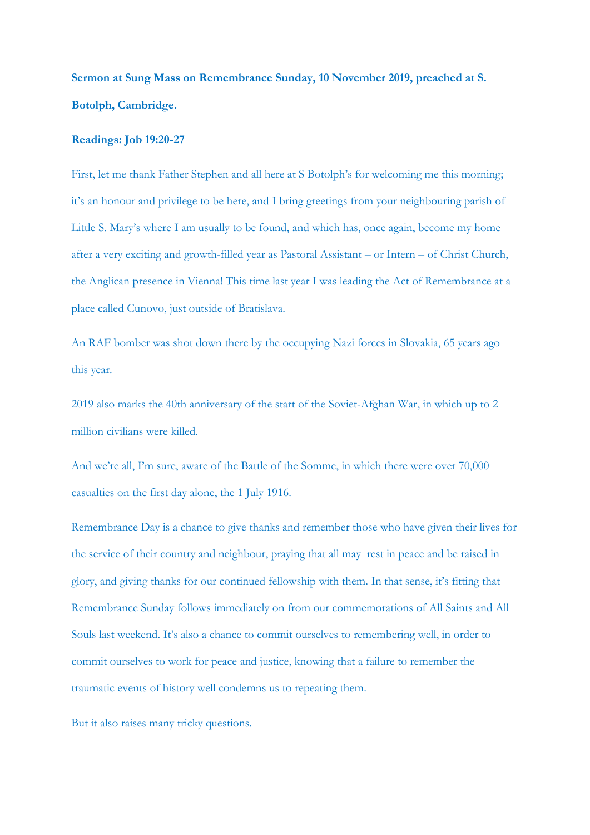**Sermon at Sung Mass on Remembrance Sunday, 10 November 2019, preached at S. Botolph, Cambridge.** 

## **Readings: Job 19:20-27**

First, let me thank Father Stephen and all here at S Botolph's for welcoming me this morning; it's an honour and privilege to be here, and I bring greetings from your neighbouring parish of Little S. Mary's where I am usually to be found, and which has, once again, become my home after a very exciting and growth-filled year as Pastoral Assistant – or Intern – of Christ Church, the Anglican presence in Vienna! This time last year I was leading the Act of Remembrance at a place called Cunovo, just outside of Bratislava.

An RAF bomber was shot down there by the occupying Nazi forces in Slovakia, 65 years ago this year.

2019 also marks the 40th anniversary of the start of the Soviet-Afghan War, in which up to 2 million civilians were killed.

And we're all, I'm sure, aware of the Battle of the Somme, in which there were over 70,000 casualties on the first day alone, the 1 July 1916.

Remembrance Day is a chance to give thanks and remember those who have given their lives for the service of their country and neighbour, praying that all may rest in peace and be raised in glory, and giving thanks for our continued fellowship with them. In that sense, it's fitting that Remembrance Sunday follows immediately on from our commemorations of All Saints and All Souls last weekend. It's also a chance to commit ourselves to remembering well, in order to commit ourselves to work for peace and justice, knowing that a failure to remember the traumatic events of history well condemns us to repeating them.

But it also raises many tricky questions.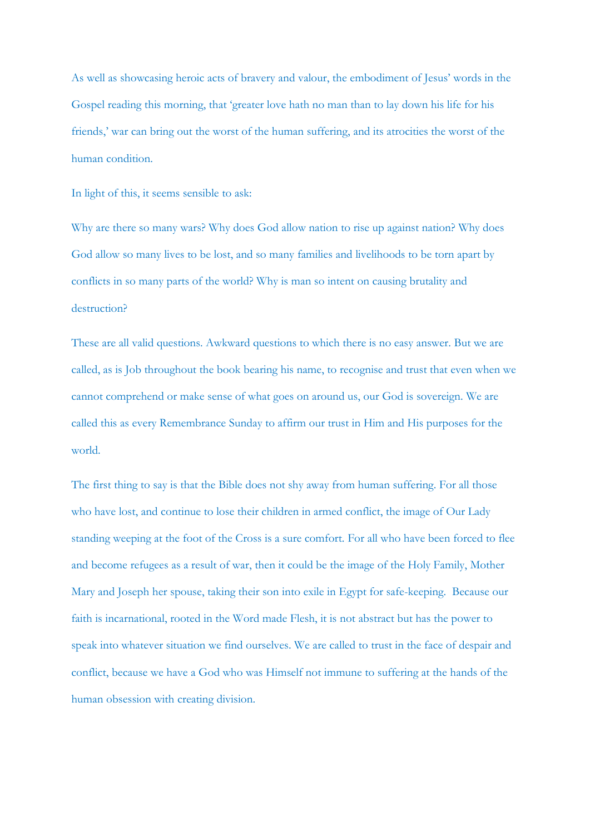As well as showcasing heroic acts of bravery and valour, the embodiment of Jesus' words in the Gospel reading this morning, that 'greater love hath no man than to lay down his life for his friends,' war can bring out the worst of the human suffering, and its atrocities the worst of the human condition.

In light of this, it seems sensible to ask:

Why are there so many wars? Why does God allow nation to rise up against nation? Why does God allow so many lives to be lost, and so many families and livelihoods to be torn apart by conflicts in so many parts of the world? Why is man so intent on causing brutality and destruction?

These are all valid questions. Awkward questions to which there is no easy answer. But we are called, as is Job throughout the book bearing his name, to recognise and trust that even when we cannot comprehend or make sense of what goes on around us, our God is sovereign. We are called this as every Remembrance Sunday to affirm our trust in Him and His purposes for the world.

The first thing to say is that the Bible does not shy away from human suffering. For all those who have lost, and continue to lose their children in armed conflict, the image of Our Lady standing weeping at the foot of the Cross is a sure comfort. For all who have been forced to flee and become refugees as a result of war, then it could be the image of the Holy Family, Mother Mary and Joseph her spouse, taking their son into exile in Egypt for safe-keeping. Because our faith is incarnational, rooted in the Word made Flesh, it is not abstract but has the power to speak into whatever situation we find ourselves. We are called to trust in the face of despair and conflict, because we have a God who was Himself not immune to suffering at the hands of the human obsession with creating division.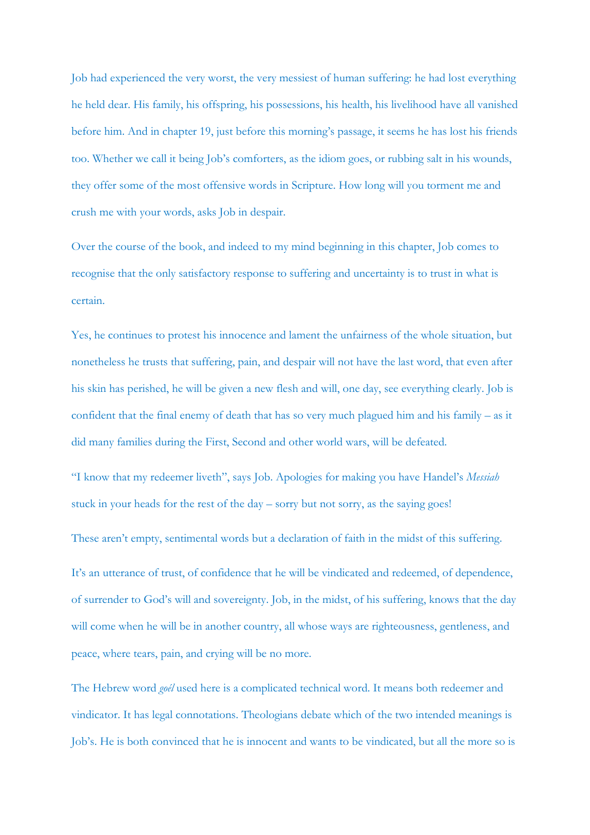Job had experienced the very worst, the very messiest of human suffering: he had lost everything he held dear. His family, his offspring, his possessions, his health, his livelihood have all vanished before him. And in chapter 19, just before this morning's passage, it seems he has lost his friends too. Whether we call it being Job's comforters, as the idiom goes, or rubbing salt in his wounds, they offer some of the most offensive words in Scripture. How long will you torment me and crush me with your words, asks Job in despair.

Over the course of the book, and indeed to my mind beginning in this chapter, Job comes to recognise that the only satisfactory response to suffering and uncertainty is to trust in what is certain.

Yes, he continues to protest his innocence and lament the unfairness of the whole situation, but nonetheless he trusts that suffering, pain, and despair will not have the last word, that even after his skin has perished, he will be given a new flesh and will, one day, see everything clearly. Job is confident that the final enemy of death that has so very much plagued him and his family – as it did many families during the First, Second and other world wars, will be defeated.

"I know that my redeemer liveth", says Job. Apologies for making you have Handel's *Messiah*  stuck in your heads for the rest of the day – sorry but not sorry, as the saying goes!

These aren't empty, sentimental words but a declaration of faith in the midst of this suffering.

It's an utterance of trust, of confidence that he will be vindicated and redeemed, of dependence, of surrender to God's will and sovereignty. Job, in the midst, of his suffering, knows that the day will come when he will be in another country, all whose ways are righteousness, gentleness, and peace, where tears, pain, and crying will be no more.

The Hebrew word *goél* used here is a complicated technical word. It means both redeemer and vindicator. It has legal connotations. Theologians debate which of the two intended meanings is Job's. He is both convinced that he is innocent and wants to be vindicated, but all the more so is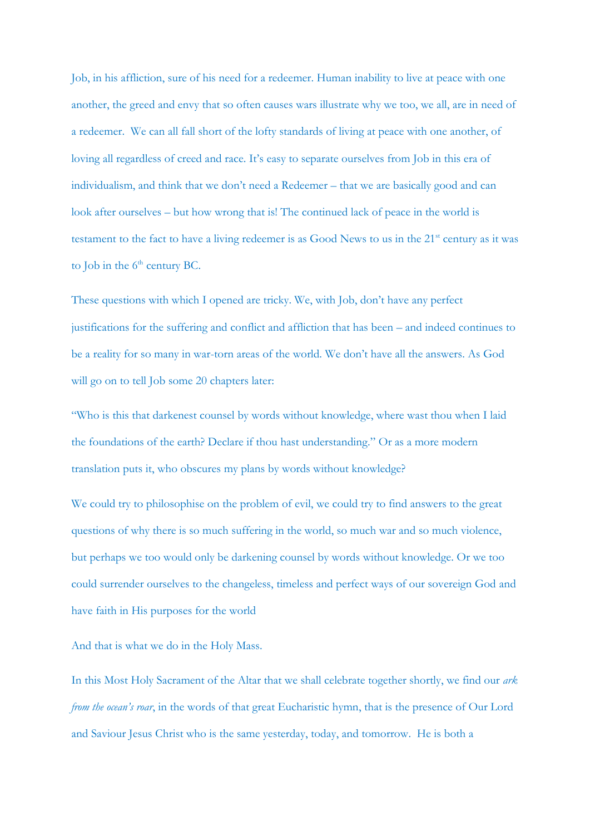Job, in his affliction, sure of his need for a redeemer. Human inability to live at peace with one another, the greed and envy that so often causes wars illustrate why we too, we all, are in need of a redeemer. We can all fall short of the lofty standards of living at peace with one another, of loving all regardless of creed and race. It's easy to separate ourselves from Job in this era of individualism, and think that we don't need a Redeemer – that we are basically good and can look after ourselves – but how wrong that is! The continued lack of peace in the world is testament to the fact to have a living redeemer is as Good News to us in the 21<sup>st</sup> century as it was to Job in the  $6<sup>th</sup>$  century BC.

These questions with which I opened are tricky. We, with Job, don't have any perfect justifications for the suffering and conflict and affliction that has been – and indeed continues to be a reality for so many in war-torn areas of the world. We don't have all the answers. As God will go on to tell Job some 20 chapters later:

"Who is this that darkenest counsel by words without knowledge, where wast thou when I laid the foundations of the earth? Declare if thou hast understanding." Or as a more modern translation puts it, who obscures my plans by words without knowledge?

We could try to philosophise on the problem of evil, we could try to find answers to the great questions of why there is so much suffering in the world, so much war and so much violence, but perhaps we too would only be darkening counsel by words without knowledge. Or we too could surrender ourselves to the changeless, timeless and perfect ways of our sovereign God and have faith in His purposes for the world

And that is what we do in the Holy Mass.

In this Most Holy Sacrament of the Altar that we shall celebrate together shortly, we find our *ark from the ocean's roar*, in the words of that great Eucharistic hymn, that is the presence of Our Lord and Saviour Jesus Christ who is the same yesterday, today, and tomorrow. He is both a